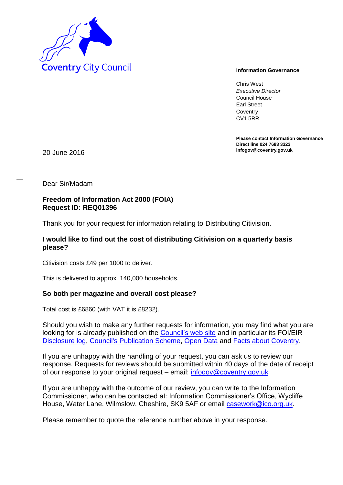

Chris West *Executive Director* Council House Earl Street **Coventry** CV1 5RR

**Please contact Information Governance Direct line 024 7683 3323**

**infogov@coventry.gov.uk** 20 June 2016

Dear Sir/Madam

#### **Freedom of Information Act 2000 (FOIA) Request ID: REQ01396**

Thank you for your request for information relating to Distributing Citivision.

## **I would like to find out the cost of distributing Citivision on a quarterly basis please?**

Citivision costs £49 per 1000 to deliver.

This is delivered to approx. 140,000 households.

## **So both per magazine and overall cost please?**

Total cost is £6860 (with VAT it is £8232).

Should you wish to make any further requests for information, you may find what you are looking for is already published on the [Council's web site](http://www.coventry.gov.uk/) and in particular its FOI/EIR [Disclosure log,](http://www.coventry.gov.uk/foieirrequests) [Council's Publication Scheme,](http://www.coventry.gov.uk/publicationscheme) [Open Data](http://www.coventry.gov.uk/opendata) and [Facts about Coventry.](http://www.coventry.gov.uk/factsaboutcoventry)

If you are unhappy with the handling of your request, you can ask us to review our response. Requests for reviews should be submitted within 40 days of the date of receipt of our response to your original request – email: [infogov@coventry.gov.uk](mailto:infogov@coventry.gov.uk) 

If you are unhappy with the outcome of our review, you can write to the Information Commissioner, who can be contacted at: Information Commissioner's Office, Wycliffe House, Water Lane, Wilmslow, Cheshire, SK9 5AF or email **casework@ico.org.uk.** 

Please remember to quote the reference number above in your response.